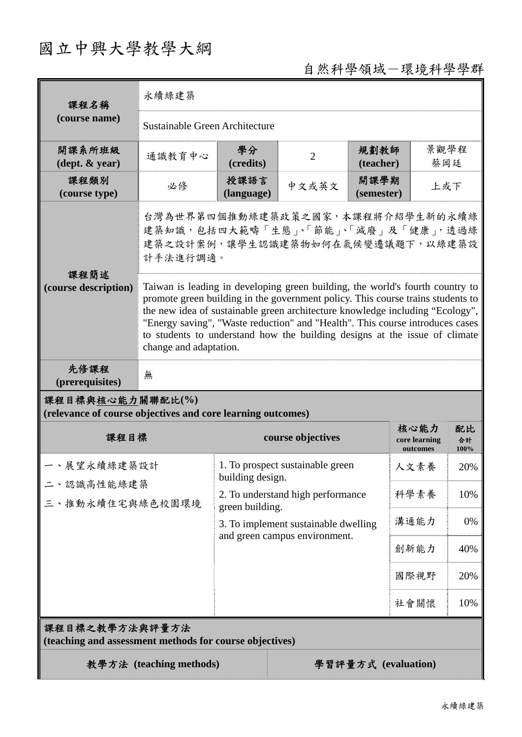## 國立中興大學教學大綱

## 自然科學領域-環境科學學群

| 課程名稱                                                                            | 永續綠建築                                                                                                                                                                                                                                                                                                                                                                                                                                      |                                                                                                                                                                                       |                |                           |                                   |                  |  |
|---------------------------------------------------------------------------------|--------------------------------------------------------------------------------------------------------------------------------------------------------------------------------------------------------------------------------------------------------------------------------------------------------------------------------------------------------------------------------------------------------------------------------------------|---------------------------------------------------------------------------------------------------------------------------------------------------------------------------------------|----------------|---------------------------|-----------------------------------|------------------|--|
| (course name)                                                                   | Sustainable Green Architecture                                                                                                                                                                                                                                                                                                                                                                                                             |                                                                                                                                                                                       |                |                           |                                   |                  |  |
| 開課系所班級<br>$(\text{dept.} \& \text{ year})$                                      | 通識教育中心                                                                                                                                                                                                                                                                                                                                                                                                                                     | 學分<br>(credits)                                                                                                                                                                       | $\overline{2}$ | 規劃教師<br>(teacher)         |                                   | 景觀學程<br>蔡岡廷      |  |
| 課程類別<br>(course type)                                                           | 必修                                                                                                                                                                                                                                                                                                                                                                                                                                         | 授課語言<br>(language)                                                                                                                                                                    | 中文或英文          | 開課學期<br>上或下<br>(semester) |                                   |                  |  |
|                                                                                 | 台灣為世界第四個推動綠建築政策之國家,本課程將介紹學生新的永續綠<br>建築知識,包括四大範疇「生態」、「節能」、「減廢」及「健康」,透過綠<br>建築之設計案例,讓學生認識建築物如何在氣候變遷議題下,以綠建築設<br>計手法進行調適。                                                                                                                                                                                                                                                                                                                     |                                                                                                                                                                                       |                |                           |                                   |                  |  |
| 課程簡述<br>(course description)                                                    | Taiwan is leading in developing green building, the world's fourth country to<br>promote green building in the government policy. This course trains students to<br>the new idea of sustainable green architecture knowledge including "Ecology",<br>"Energy saving", "Waste reduction" and "Health". This course introduces cases<br>to students to understand how the building designs at the issue of climate<br>change and adaptation. |                                                                                                                                                                                       |                |                           |                                   |                  |  |
| 先修課程<br>(prerequisites)                                                         | 無                                                                                                                                                                                                                                                                                                                                                                                                                                          |                                                                                                                                                                                       |                |                           |                                   |                  |  |
| 課程目標與核心能力關聯配比(%)<br>(relevance of course objectives and core learning outcomes) |                                                                                                                                                                                                                                                                                                                                                                                                                                            |                                                                                                                                                                                       |                |                           |                                   |                  |  |
| 課程目標                                                                            |                                                                                                                                                                                                                                                                                                                                                                                                                                            | course objectives                                                                                                                                                                     |                |                           | 核心能力<br>core learning<br>outcomes | 配比<br>合計<br>100% |  |
| 一、展望永續綠建築設計<br>二、認識高性能綠建築<br>三、推動永續住宅與綠色校園環境                                    |                                                                                                                                                                                                                                                                                                                                                                                                                                            | 1. To prospect sustainable green<br>building design.<br>2. To understand high performance<br>green building.<br>3. To implement sustainable dwelling<br>and green campus environment. |                |                           | 人文素養                              | 20%              |  |
|                                                                                 |                                                                                                                                                                                                                                                                                                                                                                                                                                            |                                                                                                                                                                                       |                |                           | 科學素養                              | 10%              |  |
|                                                                                 |                                                                                                                                                                                                                                                                                                                                                                                                                                            |                                                                                                                                                                                       |                |                           | 溝通能力                              | 0%               |  |
|                                                                                 |                                                                                                                                                                                                                                                                                                                                                                                                                                            |                                                                                                                                                                                       |                |                           | 創新能力                              | 40%              |  |
|                                                                                 |                                                                                                                                                                                                                                                                                                                                                                                                                                            |                                                                                                                                                                                       |                |                           | 國際視野                              | 20%              |  |
|                                                                                 |                                                                                                                                                                                                                                                                                                                                                                                                                                            |                                                                                                                                                                                       |                |                           | 社會關懷                              | 10%              |  |
| 課程目標之教學方法與評量方法<br>(teaching and assessment methods for course objectives)       |                                                                                                                                                                                                                                                                                                                                                                                                                                            |                                                                                                                                                                                       |                |                           |                                   |                  |  |
| 教學方法 (teaching methods)<br>學習評量方式 (evaluation)                                  |                                                                                                                                                                                                                                                                                                                                                                                                                                            |                                                                                                                                                                                       |                |                           |                                   |                  |  |